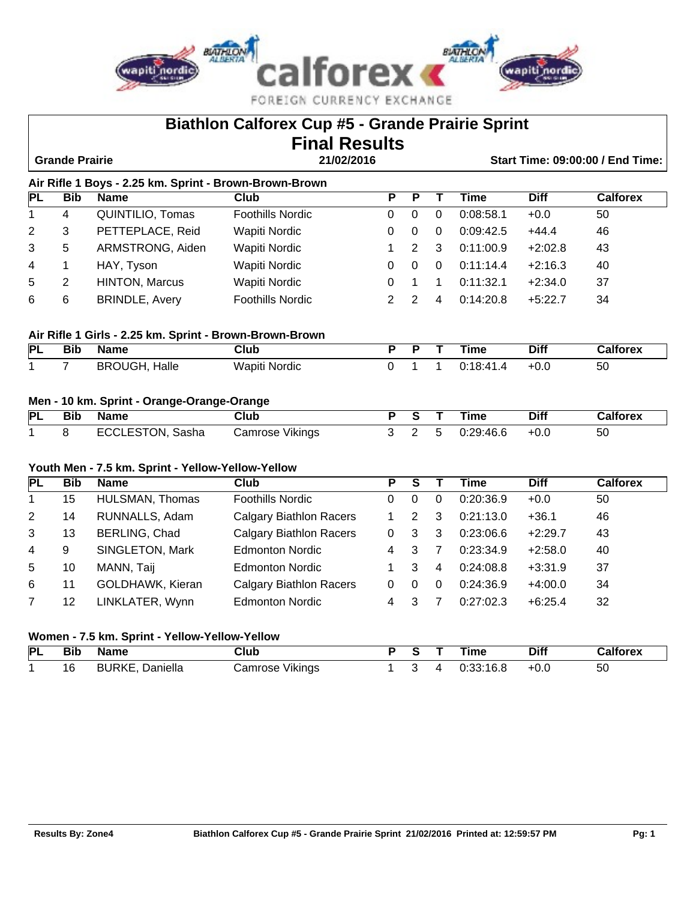

|             |                       |                                                         | <b>Biathlon Calforex Cup #5 - Grande Prairie Sprint</b> |                         |                         |                         |             |             |                                         |
|-------------|-----------------------|---------------------------------------------------------|---------------------------------------------------------|-------------------------|-------------------------|-------------------------|-------------|-------------|-----------------------------------------|
|             |                       |                                                         | <b>Final Results</b>                                    |                         |                         |                         |             |             |                                         |
|             | <b>Grande Prairie</b> |                                                         | 21/02/2016                                              |                         |                         |                         |             |             | <b>Start Time: 09:00:00 / End Time:</b> |
|             |                       | Air Rifle 1 Boys - 2.25 km. Sprint - Brown-Brown-Brown  |                                                         |                         |                         |                         |             |             |                                         |
| PL          | <b>Bib</b>            | <b>Name</b>                                             | Club                                                    | $\overline{\mathsf{P}}$ | $\overline{\mathsf{P}}$ | $\overline{\mathsf{T}}$ | <b>Time</b> | <b>Diff</b> | <b>Calforex</b>                         |
| 1           | $\overline{4}$        | QUINTILIO, Tomas                                        | <b>Foothills Nordic</b>                                 | 0                       | $\mathbf 0$             | $\mathbf 0$             | 0:08:58.1   | $+0.0$      | 50                                      |
| 2           | 3                     | PETTEPLACE, Reid                                        | <b>Wapiti Nordic</b>                                    | 0                       | $\mathbf 0$             | 0                       | 0:09:42.5   | $+44.4$     | 46                                      |
| 3           | 5                     | ARMSTRONG, Aiden                                        | Wapiti Nordic                                           | 1                       | $\overline{2}$          | 3                       | 0:11:00.9   | $+2:02.8$   | 43                                      |
| 4           | 1                     | HAY, Tyson                                              | Wapiti Nordic                                           | 0                       | $\mathbf 0$             | 0                       | 0:11:14.4   | $+2:16.3$   | 40                                      |
| 5           | $\overline{2}$        | <b>HINTON, Marcus</b>                                   | <b>Wapiti Nordic</b>                                    | 0                       | 1                       | $\mathbf 1$             | 0:11:32.1   | $+2:34.0$   | 37                                      |
| 6           | 6                     | <b>BRINDLE, Avery</b>                                   | <b>Foothills Nordic</b>                                 | $\overline{2}$          | $\overline{2}$          | 4                       | 0:14:20.8   | $+5:22.7$   | 34                                      |
|             |                       | Air Rifle 1 Girls - 2.25 km. Sprint - Brown-Brown-Brown |                                                         |                         |                         |                         |             |             |                                         |
| PL          | <b>Bib</b>            | <b>Name</b>                                             | <b>Club</b>                                             | $\overline{P}$          | $\overline{\mathsf{P}}$ | $\overline{\mathsf{T}}$ | <b>Time</b> | <b>Diff</b> | <b>Calforex</b>                         |
| 1           | $\overline{7}$        | <b>BROUGH, Halle</b>                                    | Wapiti Nordic                                           | 0                       | $\mathbf{1}$            | $\mathbf{1}$            | 0:18:41.4   | $+0.0$      | 50                                      |
|             |                       |                                                         |                                                         |                         |                         |                         |             |             |                                         |
|             |                       | Men - 10 km. Sprint - Orange-Orange-Orange              |                                                         |                         |                         |                         |             |             |                                         |
| <b>PL</b>   | <b>Bib</b>            | <b>Name</b>                                             | <b>Club</b>                                             | $\overline{P}$          | $\overline{s}$          | Т                       | <b>Time</b> | <b>Diff</b> | <b>Calforex</b>                         |
| $\mathbf 1$ | 8                     | ECCLESTON, Sasha                                        | Camrose Vikings                                         | 3                       | $\overline{2}$          | 5                       | 0:29:46.6   | $+0.0$      | 50                                      |
|             |                       | Youth Men - 7.5 km. Sprint - Yellow-Yellow-Yellow       |                                                         |                         |                         |                         |             |             |                                         |
| <b>PL</b>   | <b>Bib</b>            | <b>Name</b>                                             | Club                                                    | $\overline{\mathsf{P}}$ | $\overline{\mathsf{s}}$ | $\overline{\mathsf{T}}$ | <b>Time</b> | <b>Diff</b> | <b>Calforex</b>                         |
| $\mathbf 1$ | 15                    | HULSMAN, Thomas                                         | <b>Foothills Nordic</b>                                 | 0                       | $\mathbf 0$             | 0                       | 0:20:36.9   | $+0.0$      | 50                                      |
| 2           | 14                    | RUNNALLS, Adam                                          | <b>Calgary Biathlon Racers</b>                          | 1                       | $\overline{2}$          | 3                       | 0:21:13.0   | $+36.1$     | 46                                      |
| 3           | 13                    | BERLING, Chad                                           | <b>Calgary Biathlon Racers</b>                          | 0                       | 3                       | 3                       | 0:23:06.6   | $+2:29.7$   | 43                                      |
| 4           | 9                     | SINGLETON, Mark                                         | <b>Edmonton Nordic</b>                                  | 4                       | 3                       | $\overline{7}$          | 0:23:34.9   | $+2:58.0$   | 40                                      |
| 5           | 10                    | MANN, Taij                                              | <b>Edmonton Nordic</b>                                  | 1                       | 3                       | 4                       | 0:24:08.8   | $+3:31.9$   | 37                                      |
| 6           | 11                    | GOLDHAWK, Kieran                                        | <b>Calgary Biathlon Racers</b>                          | 0                       | $\mathbf 0$             | $\Omega$                | 0:24:36.9   | $+4:00.0$   | 34                                      |
| 7           | 12                    | LINKLATER, Wynn                                         | <b>Edmonton Nordic</b>                                  | 4                       | 3                       | $\overline{7}$          | 0:27:02.3   | $+6:25.4$   | 32                                      |
|             |                       | Women - 7.5 km. Sprint - Yellow-Yellow-Yellow           |                                                         |                         |                         |                         |             |             |                                         |
| PL          | <b>Bib</b>            | <b>Name</b>                                             | Club                                                    | $\overline{\mathsf{P}}$ | $\overline{s}$          | $\overline{\mathsf{T}}$ | <b>Time</b> | <b>Diff</b> | <b>Calforex</b>                         |
| 1           | 16                    | <b>BURKE, Daniella</b>                                  | Camrose Vikings                                         | $\mathbf{1}$            | 3                       | $\overline{\mathbf{4}}$ | 0:33:16.8   | $+0.0$      | 50                                      |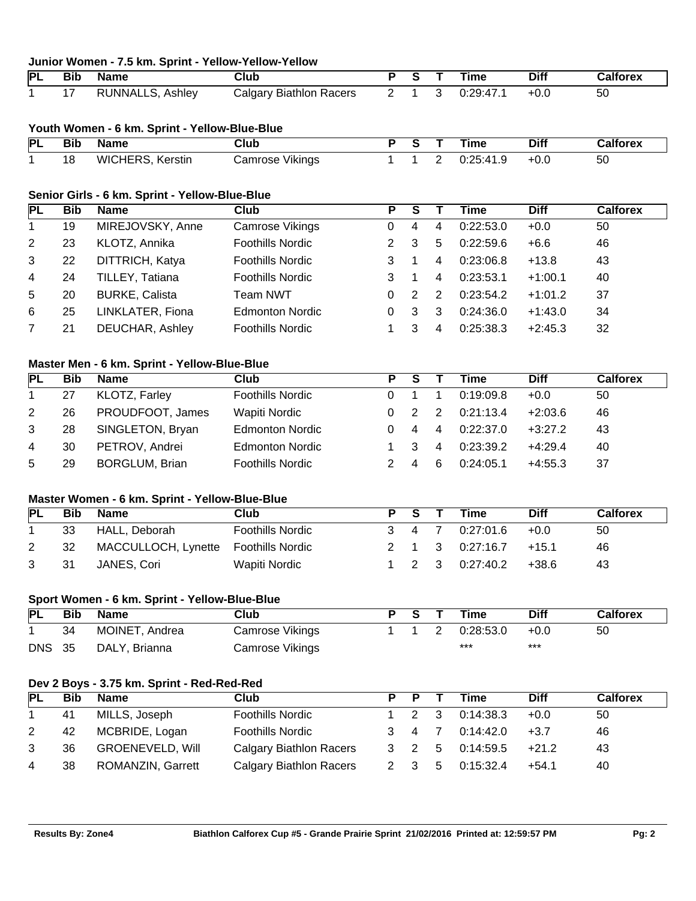| <b>PL</b>      | <b>Bib</b> | <b>Name</b>                                    | <b>Club</b>                    | $\overline{\mathsf{P}}$ | ड                           | т              | <b>Time</b> | <b>Diff</b> | <b>Calforex</b> |
|----------------|------------|------------------------------------------------|--------------------------------|-------------------------|-----------------------------|----------------|-------------|-------------|-----------------|
| 1              | 17         | RUNNALLS, Ashley                               | <b>Calgary Biathlon Racers</b> | $\overline{2}$          | 1                           | 3              | 0:29:47.1   | $+0.0$      | 50              |
|                |            | Youth Women - 6 km. Sprint - Yellow-Blue-Blue  |                                |                         |                             |                |             |             |                 |
| PL             | <b>Bib</b> | <b>Name</b>                                    | $\overline{\text{Club}}$       | $\overline{\mathsf{P}}$ | $\overline{\mathsf{s}}$     | т              | <b>Time</b> | <b>Diff</b> | <b>Calforex</b> |
| $\mathbf{1}$   | 18         | WICHERS, Kerstin                               | Camrose Vikings                | 1                       | 1                           | 2              | 0:25:41.9   | $+0.0$      | 50              |
|                |            | Senior Girls - 6 km. Sprint - Yellow-Blue-Blue |                                |                         |                             |                |             |             |                 |
| <b>PL</b>      | <b>Bib</b> | <b>Name</b>                                    | <b>Club</b>                    | Ρ                       | $\overline{s}$              | Τ              | <b>Time</b> | <b>Diff</b> | <b>Calforex</b> |
| $\mathbf{1}$   | 19         | MIREJOVSKY, Anne                               | Camrose Vikings                | 0                       | 4                           | 4              | 0:22:53.0   | $+0.0$      | 50              |
| $\overline{2}$ | 23         | KLOTZ, Annika                                  | <b>Foothills Nordic</b>        | 2                       | 3                           | 5              | 0:22:59.6   | $+6.6$      | 46              |
| 3              | 22         | DITTRICH, Katya                                | <b>Foothills Nordic</b>        | 3                       | 1                           | 4              | 0:23:06.8   | $+13.8$     | 43              |
| 4              | 24         | TILLEY, Tatiana                                | <b>Foothills Nordic</b>        | 3                       | 1                           | 4              | 0:23:53.1   | $+1:00.1$   | 40              |
| 5              | 20         | <b>BURKE, Calista</b>                          | <b>Team NWT</b>                | 0                       | $\overline{2}$              | 2              | 0:23:54.2   | $+1:01.2$   | 37              |
| 6              | 25         | LINKLATER, Fiona                               | <b>Edmonton Nordic</b>         | 0                       | 3                           | 3              | 0:24:36.0   | $+1:43.0$   | 34              |
| 7              | 21         | <b>DEUCHAR, Ashley</b>                         | <b>Foothills Nordic</b>        | 1                       | 3                           | 4              | 0:25:38.3   | $+2:45.3$   | 32              |
|                |            | Master Men - 6 km. Sprint - Yellow-Blue-Blue   |                                |                         |                             |                |             |             |                 |
| <b>PL</b>      | <b>Bib</b> | <b>Name</b>                                    | <b>Club</b>                    | P                       | $\overline{\mathsf{s}}$     | т              | <b>Time</b> | <b>Diff</b> | <b>Calforex</b> |
| 1              | 27         | KLOTZ, Farley                                  | <b>Foothills Nordic</b>        | 0                       | 1                           | $\mathbf{1}$   | 0:19:09.8   | $+0.0$      | 50              |
| $\overline{2}$ | 26         | PROUDFOOT, James                               | Wapiti Nordic                  | 0                       | $\mathbf{2}$                | 2              | 0:21:13.4   | $+2:03.6$   | 46              |
| 3              | 28         | SINGLETON, Bryan                               | <b>Edmonton Nordic</b>         | 0                       | $\overline{4}$              | 4              | 0:22:37.0   | $+3:27.2$   | 43              |
| 4              | 30         | PETROV, Andrei                                 | <b>Edmonton Nordic</b>         | 1                       | 3                           | 4              | 0:23:39.2   | $+4:29.4$   | 40              |
| 5              | 29         | <b>BORGLUM, Brian</b>                          | <b>Foothills Nordic</b>        | 2                       | 4                           | 6              | 0:24:05.1   | $+4:55.3$   | 37              |
|                |            | Master Women - 6 km. Sprint - Yellow-Blue-Blue |                                |                         |                             |                |             |             |                 |
| <b>PL</b>      | <b>Bib</b> | <b>Name</b>                                    | <b>Club</b>                    | P                       | $\overline{\mathsf{s}}$     | т              | <b>Time</b> | <b>Diff</b> | <b>Calforex</b> |
| 1              | 33         | HALL, Deborah                                  | <b>Foothills Nordic</b>        | 3                       | 4                           | $\overline{7}$ | 0:27:01.6   | $+0.0$      | 50              |
| 2              | 32         | MACCULLOCH, Lynette                            | <b>Foothills Nordic</b>        | 2                       | 1                           | 3              | 0:27:16.7   | $+15.1$     | 46              |
| 3              | 31         | JANES, Cori                                    | Wapiti Nordic                  | 1                       | $\overline{2}$              | 3              | 0:27:40.2   | $+38.6$     | 43              |
|                |            | Sport Women - 6 km. Sprint - Yellow-Blue-Blue  |                                |                         |                             |                |             |             |                 |
| <b>PL</b>      | <b>Bib</b> | <b>Name</b>                                    | $\overline{\text{Club}}$       | $\overline{P}$          | $\overline{\boldsymbol{s}}$ | т              | <b>Time</b> | <b>Diff</b> | <b>Calforex</b> |
| 1              | 34         | MOINET, Andrea                                 | Camrose Vikings                | $\mathbf{1}$            | 1                           | 2              | 0:28:53.0   | $+0.0$      | 50              |
| <b>DNS</b>     | 35         | DALY, Brianna                                  | Camrose Vikings                |                         |                             |                | $***$       | ***         |                 |
|                |            | Dev 2 Boys - 3.75 km. Sprint - Red-Red-Red     |                                |                         |                             |                |             |             |                 |
| <b>PL</b>      | <b>Bib</b> | <b>Name</b>                                    | <b>Club</b>                    | $\overline{\mathsf{P}}$ | $\overline{\mathsf{P}}$     | т              | <b>Time</b> | <b>Diff</b> | <b>Calforex</b> |
| 1              | 41         | MILLS, Joseph                                  | <b>Foothills Nordic</b>        | 1                       | 2                           | 3              | 0:14:38.3   | $+0.0$      | 50              |
| 2              | 42         | MCBRIDE, Logan                                 | <b>Foothills Nordic</b>        | 3                       | 4                           | $\overline{7}$ | 0:14:42.0   | $+3.7$      | 46              |
| 3              | 36         | <b>GROENEVELD, Will</b>                        | <b>Calgary Biathlon Racers</b> | 3                       | $\overline{2}$              | 5              | 0:14:59.5   | $+21.2$     | 43              |
|                | 38         | ROMANZIN, Garrett                              | <b>Calgary Biathlon Racers</b> | $\overline{2}$          | 3                           | 5              | 0:15:32.4   | $+54.1$     | 40              |